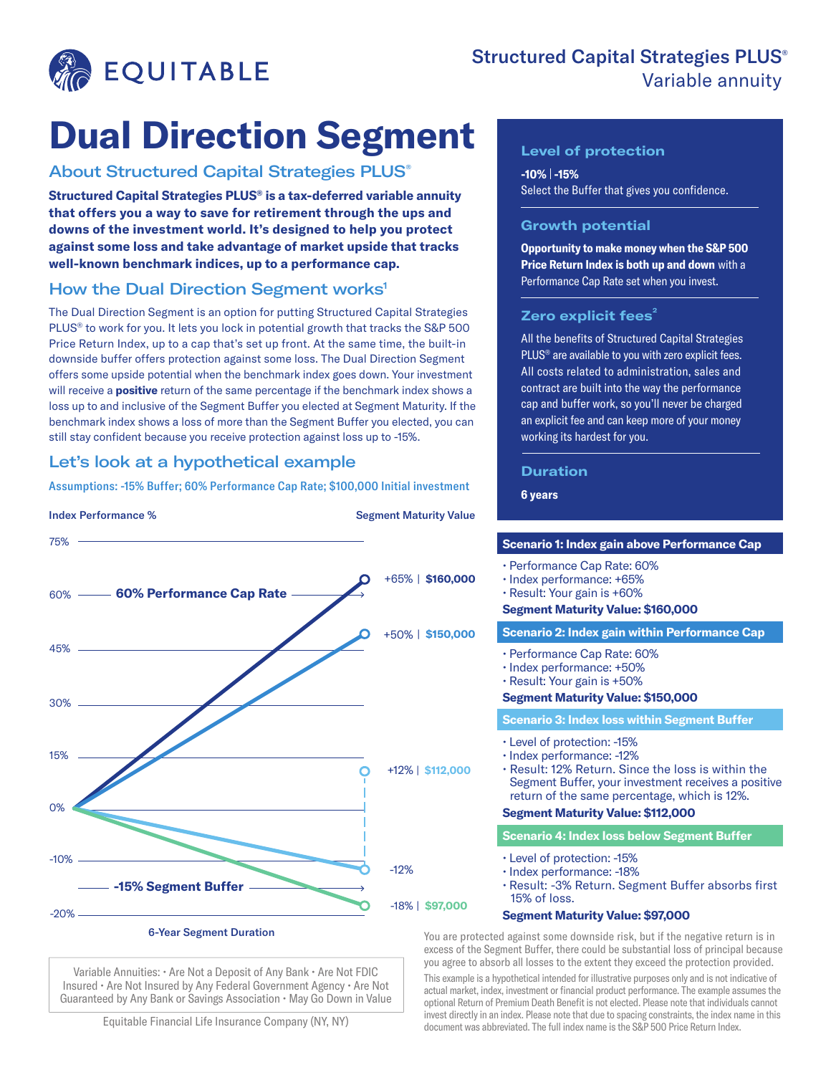

# Structured Capital Strategies PLUS® Variable annuity

# **Dual Direction Segment**

## About Structured Capital Strategies PLUS®

**Structured Capital Strategies PLUS® is a tax-deferred variable annuity that offers you a way to save for retirement through the ups and downs of the investment world. It's designed to help you protect against some loss and take advantage of market upside that tracks well-known benchmark indices, up to a performance cap.**

# How the Dual Direction Segment works<sup>1</sup>

The Dual Direction Segment is an option for putting Structured Capital Strategies PLUS® to work for you. It lets you lock in potential growth that tracks the S&P 500 Price Return Index, up to a cap that's set up front. At the same time, the built-in downside buffer offers protection against some loss. The Dual Direction Segment offers some upside potential when the benchmark index goes down. Your investment will receive a **positive** return of the same percentage if the benchmark index shows a loss up to and inclusive of the Segment Buffer you elected at Segment Maturity. If the benchmark index shows a loss of more than the Segment Buffer you elected, you can still stay confident because you receive protection against loss up to -15%.

# Let's look at a hypothetical example

Assumptions: -15% Buffer; 60% Performance Cap Rate; \$100,000 Initial investment



Variable Annuities: • Are Not a Deposit of Any Bank • Are Not FDIC Insured • Are Not Insured by Any Federal Government Agency • Are Not Guaranteed by Any Bank or Savings Association • May Go Down in Value

Equitable Financial Life Insurance Company (NY, NY)

## **Level of protection**

**-10% -15%**  Select the Buffer that gives you confidence.

## **Growth potential**

**Opportunity to make money when the S&P 500 Price Return Index is both up and down** with a Performance Cap Rate set when you invest.

## **Zero explicit fees<sup>2</sup>**

All the benefits of Structured Capital Strategies PLUS<sup>®</sup> are available to you with zero explicit fees. All costs related to administration, sales and contract are built into the way the performance cap and buffer work, so you'll never be charged an explicit fee and can keep more of your money working its hardest for you.

### **Duration**

**6 years**

#### **Scenario 1: Index gain above Performance Cap**

• Performance Cap Rate: 60%

- Index performance: +65%
- Result: Your gain is +60%

#### **Segment Maturity Value: \$160,000**

#### **Scenario 2: Index gain within Performance Cap**

- Performance Cap Rate: 60%
- Index performance: +50%
- Result: Your gain is +50%

### **Segment Maturity Value: \$150,000**

#### **Scenario 3: Index loss within Segment Buffer**

- Level of protection: -15%
- Index performance: -12%

• Result: 12% Return. Since the loss is within the Segment Buffer, your investment receives a positive return of the same percentage, which is 12%.

#### **Segment Maturity Value: \$112,000**

**Scenario 4: Index loss below Segment Buffer**

- Level of protection: -15%
- Index performance: -18%
- Result: -3% Return. Segment Buffer absorbs first 15% of loss.

### **Segment Maturity Value: \$97,000**

You are protected against some downside risk, but if the negative return is in excess of the Segment Buffer, there could be substantial loss of principal because you agree to absorb all losses to the extent they exceed the protection provided. This example is a hypothetical intended for illustrative purposes only and is not indicative of actual market, index, investment or financial product performance. The example assumes the optional Return of Premium Death Benefit is not elected. Please note that individuals cannot invest directly in an index. Please note that due to spacing constraints, the index name in this document was abbreviated. The full index name is the S&P 500 Price Return Index.